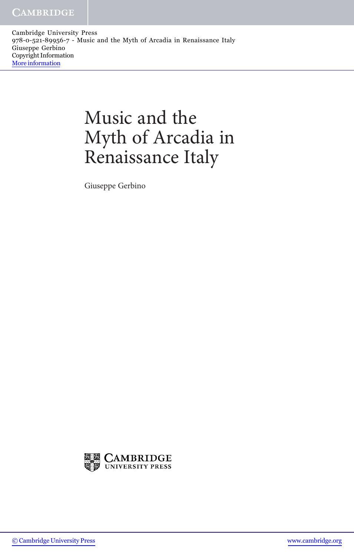Cambridge University Press 978-0-521-89956-7 - Music and the Myth of Arcadia in Renaissance Italy Giuseppe Gerbino Copyright Information [More information](http://www.cambridge.org/9780521899567)

## Music and the Myth of Arcadia in Renaissance Italy

Giuseppe Gerbino